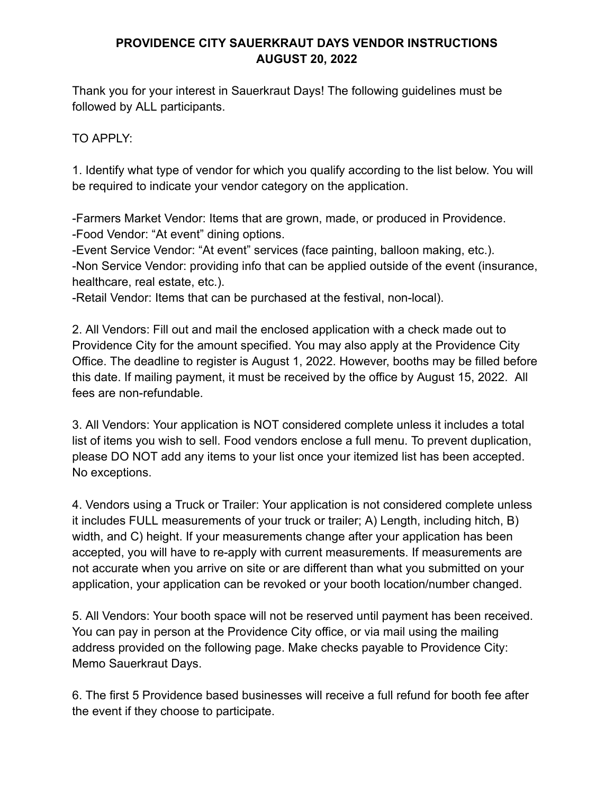#### **PROVIDENCE CITY SAUERKRAUT DAYS VENDOR INSTRUCTIONS AUGUST 20, 2022**

Thank you for your interest in Sauerkraut Days! The following guidelines must be followed by ALL participants.

TO APPLY:

1. Identify what type of vendor for which you qualify according to the list below. You will be required to indicate your vendor category on the application.

-Farmers Market Vendor: Items that are grown, made, or produced in Providence. -Food Vendor: "At event" dining options.

-Event Service Vendor: "At event" services (face painting, balloon making, etc.). -Non Service Vendor: providing info that can be applied outside of the event (insurance, healthcare, real estate, etc.).

-Retail Vendor: Items that can be purchased at the festival, non-local).

2. All Vendors: Fill out and mail the enclosed application with a check made out to Providence City for the amount specified. You may also apply at the Providence City Office. The deadline to register is August 1, 2022. However, booths may be filled before this date. If mailing payment, it must be received by the office by August 15, 2022. All fees are non-refundable.

3. All Vendors: Your application is NOT considered complete unless it includes a total list of items you wish to sell. Food vendors enclose a full menu. To prevent duplication, please DO NOT add any items to your list once your itemized list has been accepted. No exceptions.

4. Vendors using a Truck or Trailer: Your application is not considered complete unless it includes FULL measurements of your truck or trailer; A) Length, including hitch, B) width, and C) height. If your measurements change after your application has been accepted, you will have to re-apply with current measurements. If measurements are not accurate when you arrive on site or are different than what you submitted on your application, your application can be revoked or your booth location/number changed.

5. All Vendors: Your booth space will not be reserved until payment has been received. You can pay in person at the Providence City office, or via mail using the mailing address provided on the following page. Make checks payable to Providence City: Memo Sauerkraut Days.

6. The first 5 Providence based businesses will receive a full refund for booth fee after the event if they choose to participate.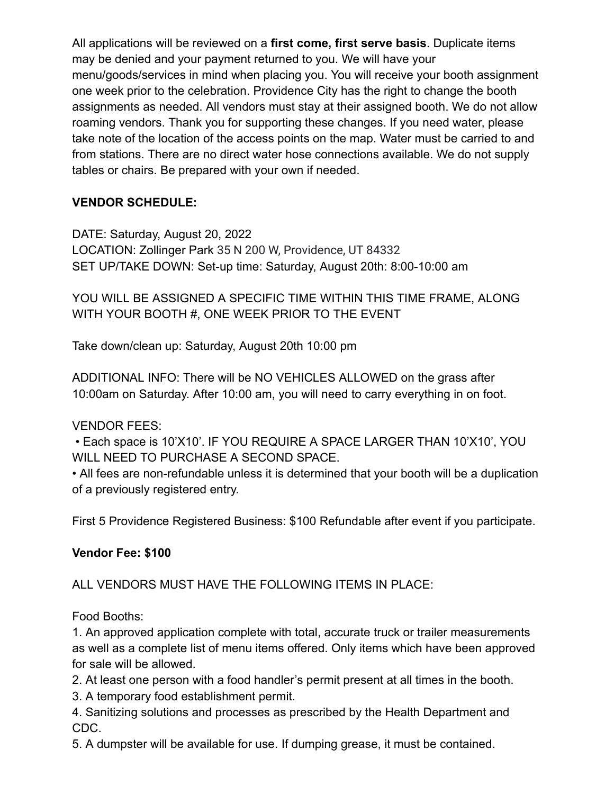All applications will be reviewed on a **first come, first serve basis**. Duplicate items may be denied and your payment returned to you. We will have your menu/goods/services in mind when placing you. You will receive your booth assignment one week prior to the celebration. Providence City has the right to change the booth assignments as needed. All vendors must stay at their assigned booth. We do not allow roaming vendors. Thank you for supporting these changes. If you need water, please take note of the location of the access points on the map. Water must be carried to and from stations. There are no direct water hose connections available. We do not supply tables or chairs. Be prepared with your own if needed.

# **VENDOR SCHEDULE:**

DATE: Saturday, August 20, 2022 LOCATION: Zollinger Park 35 N 200 W, Providence, UT 84332 SET UP/TAKE DOWN: Set-up time: Saturday, August 20th: 8:00-10:00 am

YOU WILL BE ASSIGNED A SPECIFIC TIME WITHIN THIS TIME FRAME, ALONG WITH YOUR BOOTH #, ONE WEEK PRIOR TO THE EVENT

Take down/clean up: Saturday, August 20th 10:00 pm

ADDITIONAL INFO: There will be NO VEHICLES ALLOWED on the grass after 10:00am on Saturday. After 10:00 am, you will need to carry everything in on foot.

# VENDOR FEES:

• Each space is 10'X10'. IF YOU REQUIRE A SPACE LARGER THAN 10'X10', YOU WILL NEED TO PURCHASE A SECOND SPACE.

• All fees are non-refundable unless it is determined that your booth will be a duplication of a previously registered entry.

First 5 Providence Registered Business: \$100 Refundable after event if you participate.

#### **Vendor Fee: \$100**

ALL VENDORS MUST HAVE THE FOLLOWING ITEMS IN PLACE:

Food Booths:

1. An approved application complete with total, accurate truck or trailer measurements as well as a complete list of menu items offered. Only items which have been approved for sale will be allowed.

2. At least one person with a food handler's permit present at all times in the booth.

3. A temporary food establishment permit.

4. Sanitizing solutions and processes as prescribed by the Health Department and CDC.

5. A dumpster will be available for use. If dumping grease, it must be contained.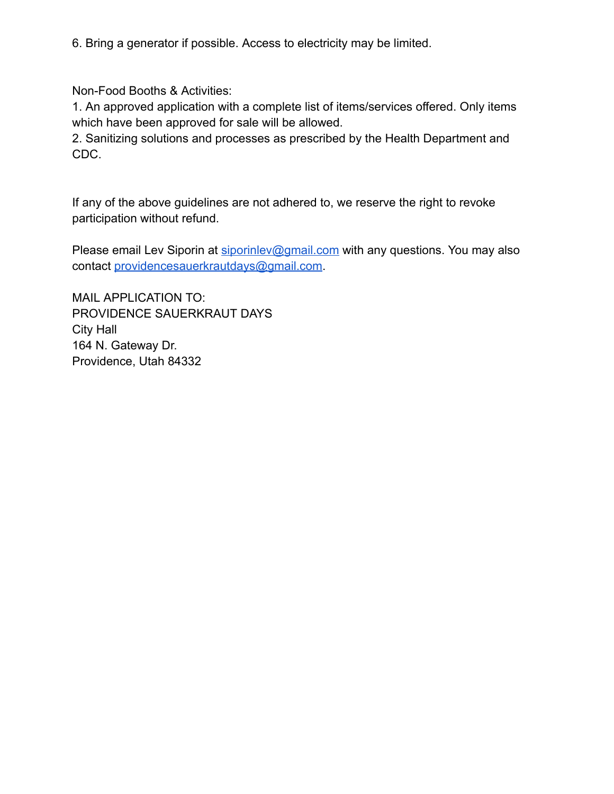6. Bring a generator if possible. Access to electricity may be limited.

Non-Food Booths & Activities:

1. An approved application with a complete list of items/services offered. Only items which have been approved for sale will be allowed.

2. Sanitizing solutions and processes as prescribed by the Health Department and CDC.

If any of the above guidelines are not adhered to, we reserve the right to revoke participation without refund.

Please email Lev Siporin at [siporinlev@gmail.com](mailto:siporinlev@gmail.com) with any questions. You may also contact [providencesauerkrautdays@gmail.com.](mailto:providencesauerkrautdays@gmail.com)

MAIL APPLICATION TO: PROVIDENCE SAUERKRAUT DAYS City Hall 164 N. Gateway Dr. Providence, Utah 84332